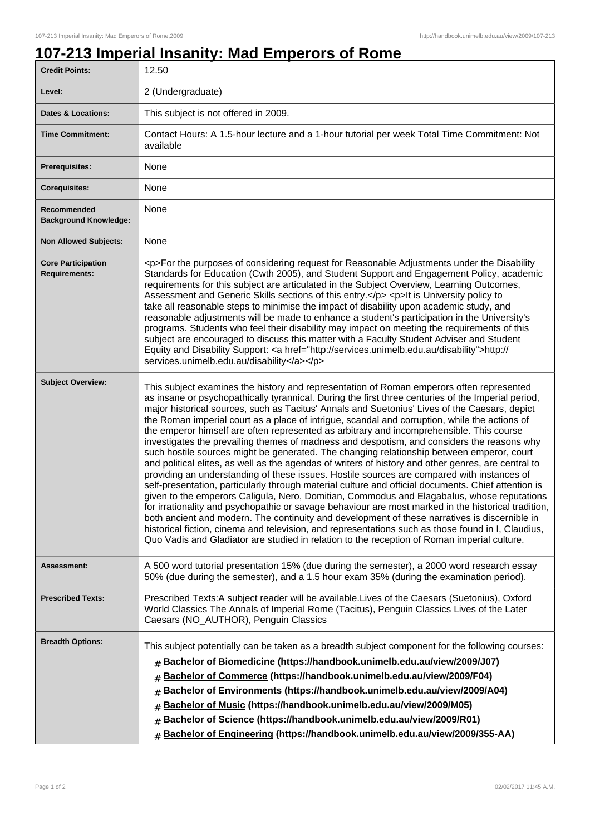## **107-213 Imperial Insanity: Mad Emperors of Rome**

| <b>Credit Points:</b>                             | 12.50                                                                                                                                                                                                                                                                                                                                                                                                                                                                                                                                                                                                                                                                                                                                                                                                                                                                                                                                                                                                                                                                                                                                                                                                                                                                                                                                                                                                                                                                                                          |
|---------------------------------------------------|----------------------------------------------------------------------------------------------------------------------------------------------------------------------------------------------------------------------------------------------------------------------------------------------------------------------------------------------------------------------------------------------------------------------------------------------------------------------------------------------------------------------------------------------------------------------------------------------------------------------------------------------------------------------------------------------------------------------------------------------------------------------------------------------------------------------------------------------------------------------------------------------------------------------------------------------------------------------------------------------------------------------------------------------------------------------------------------------------------------------------------------------------------------------------------------------------------------------------------------------------------------------------------------------------------------------------------------------------------------------------------------------------------------------------------------------------------------------------------------------------------------|
| Level:                                            | 2 (Undergraduate)                                                                                                                                                                                                                                                                                                                                                                                                                                                                                                                                                                                                                                                                                                                                                                                                                                                                                                                                                                                                                                                                                                                                                                                                                                                                                                                                                                                                                                                                                              |
| <b>Dates &amp; Locations:</b>                     | This subject is not offered in 2009.                                                                                                                                                                                                                                                                                                                                                                                                                                                                                                                                                                                                                                                                                                                                                                                                                                                                                                                                                                                                                                                                                                                                                                                                                                                                                                                                                                                                                                                                           |
| <b>Time Commitment:</b>                           | Contact Hours: A 1.5-hour lecture and a 1-hour tutorial per week Total Time Commitment: Not<br>available                                                                                                                                                                                                                                                                                                                                                                                                                                                                                                                                                                                                                                                                                                                                                                                                                                                                                                                                                                                                                                                                                                                                                                                                                                                                                                                                                                                                       |
| Prerequisites:                                    | None                                                                                                                                                                                                                                                                                                                                                                                                                                                                                                                                                                                                                                                                                                                                                                                                                                                                                                                                                                                                                                                                                                                                                                                                                                                                                                                                                                                                                                                                                                           |
| <b>Corequisites:</b>                              | None                                                                                                                                                                                                                                                                                                                                                                                                                                                                                                                                                                                                                                                                                                                                                                                                                                                                                                                                                                                                                                                                                                                                                                                                                                                                                                                                                                                                                                                                                                           |
| Recommended<br><b>Background Knowledge:</b>       | None                                                                                                                                                                                                                                                                                                                                                                                                                                                                                                                                                                                                                                                                                                                                                                                                                                                                                                                                                                                                                                                                                                                                                                                                                                                                                                                                                                                                                                                                                                           |
| <b>Non Allowed Subjects:</b>                      | None                                                                                                                                                                                                                                                                                                                                                                                                                                                                                                                                                                                                                                                                                                                                                                                                                                                                                                                                                                                                                                                                                                                                                                                                                                                                                                                                                                                                                                                                                                           |
| <b>Core Participation</b><br><b>Requirements:</b> | <p>For the purposes of considering request for Reasonable Adjustments under the Disability<br/>Standards for Education (Cwth 2005), and Student Support and Engagement Policy, academic<br/>requirements for this subject are articulated in the Subject Overview, Learning Outcomes,<br/>Assessment and Generic Skills sections of this entry.</p> <p>lt is University policy to<br/>take all reasonable steps to minimise the impact of disability upon academic study, and<br/>reasonable adjustments will be made to enhance a student's participation in the University's<br/>programs. Students who feel their disability may impact on meeting the requirements of this<br/>subject are encouraged to discuss this matter with a Faculty Student Adviser and Student<br/>Equity and Disability Support: &lt; a href="http://services.unimelb.edu.au/disability"&gt;http://<br/>services.unimelb.edu.au/disability</p>                                                                                                                                                                                                                                                                                                                                                                                                                                                                                                                                                                                   |
| <b>Subject Overview:</b>                          | This subject examines the history and representation of Roman emperors often represented<br>as insane or psychopathically tyrannical. During the first three centuries of the Imperial period,<br>major historical sources, such as Tacitus' Annals and Suetonius' Lives of the Caesars, depict<br>the Roman imperial court as a place of intrigue, scandal and corruption, while the actions of<br>the emperor himself are often represented as arbitrary and incomprehensible. This course<br>investigates the prevailing themes of madness and despotism, and considers the reasons why<br>such hostile sources might be generated. The changing relationship between emperor, court<br>and political elites, as well as the agendas of writers of history and other genres, are central to<br>providing an understanding of these issues. Hostile sources are compared with instances of<br>self-presentation, particularly through material culture and official documents. Chief attention is<br>given to the emperors Caligula, Nero, Domitian, Commodus and Elagabalus, whose reputations<br>for irrationality and psychopathic or savage behaviour are most marked in the historical tradition,<br>both ancient and modern. The continuity and development of these narratives is discernible in<br>historical fiction, cinema and television, and representations such as those found in I, Claudius,<br>Quo Vadis and Gladiator are studied in relation to the reception of Roman imperial culture. |
| Assessment:                                       | A 500 word tutorial presentation 15% (due during the semester), a 2000 word research essay<br>50% (due during the semester), and a 1.5 hour exam 35% (during the examination period).                                                                                                                                                                                                                                                                                                                                                                                                                                                                                                                                                                                                                                                                                                                                                                                                                                                                                                                                                                                                                                                                                                                                                                                                                                                                                                                          |
| <b>Prescribed Texts:</b>                          | Prescribed Texts:A subject reader will be available.Lives of the Caesars (Suetonius), Oxford<br>World Classics The Annals of Imperial Rome (Tacitus), Penguin Classics Lives of the Later<br>Caesars (NO_AUTHOR), Penguin Classics                                                                                                                                                                                                                                                                                                                                                                                                                                                                                                                                                                                                                                                                                                                                                                                                                                                                                                                                                                                                                                                                                                                                                                                                                                                                             |
| <b>Breadth Options:</b>                           | This subject potentially can be taken as a breadth subject component for the following courses:<br>Bachelor of Biomedicine (https://handbook.unimelb.edu.au/view/2009/J07)<br>#<br>Bachelor of Commerce (https://handbook.unimelb.edu.au/view/2009/F04)<br>#<br>Bachelor of Environments (https://handbook.unimelb.edu.au/view/2009/A04)<br>#<br>Bachelor of Music (https://handbook.unimelb.edu.au/view/2009/M05)<br>#<br>Bachelor of Science (https://handbook.unimelb.edu.au/view/2009/R01)<br>#<br>Bachelor of Engineering (https://handbook.unimelb.edu.au/view/2009/355-AA)<br>$\pm$                                                                                                                                                                                                                                                                                                                                                                                                                                                                                                                                                                                                                                                                                                                                                                                                                                                                                                                     |